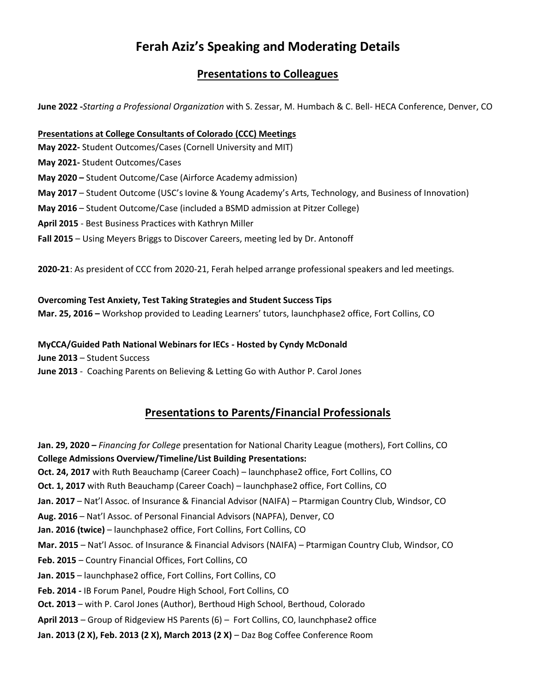# **Ferah Aziz's Speaking and Moderating Details**

## **Presentations to Colleagues**

**June 2022 -***Starting a Professional Organization* with S. Zessar, M. Humbach & C. Bell- HECA Conference, Denver, CO

#### **Presentations at College Consultants of Colorado (CCC) Meetings**

**May 2022-** Student Outcomes/Cases (Cornell University and MIT)

- **May 2021-** Student Outcomes/Cases
- **May 2020 –** Student Outcome/Case (Airforce Academy admission)
- **May 2017** Student Outcome (USC's Iovine & Young Academy's Arts, Technology, and Business of Innovation)
- **May 2016** Student Outcome/Case (included a BSMD admission at Pitzer College)
- **April 2015** Best Business Practices with Kathryn Miller
- **Fall 2015** Using Meyers Briggs to Discover Careers, meeting led by Dr. Antonoff

**2020-21**: As president of CCC from 2020-21, Ferah helped arrange professional speakers and led meetings.

#### **Overcoming Test Anxiety, Test Taking Strategies and Student Success Tips**

**Mar. 25, 2016 –** Workshop provided to Leading Learners' tutors, launchphase2 office, Fort Collins, CO

### **MyCCA/Guided Path National Webinars for IECs - Hosted by Cyndy McDonald**

**June 2013** – [Student Success](https://www.slideshare.net/myccanet/student-success-june-12-2013-final-presentation-version)

**June 2013** - [Coaching Parents on Believing & Letting Go](https://www.youtube.com/watch?v=pbwdfhf85Lk) with Author P. Carol Jones

## **Presentations to Parents/Financial Professionals**

**Jan. 29, 2020 –** *Financing for College* presentation for National Charity League (mothers), Fort Collins, CO **College Admissions Overview/Timeline/List Building Presentations: Oct. 24, 2017** with Ruth Beauchamp (Career Coach) – launchphase2 office, Fort Collins, CO **Oct. 1, 2017** with Ruth Beauchamp (Career Coach) – launchphase2 office, Fort Collins, CO **Jan. 2017** – Nat'l Assoc. of Insurance & Financial Advisor (NAIFA) – Ptarmigan Country Club, Windsor, CO **Aug. 2016** – Nat'l Assoc. of Personal Financial Advisors (NAPFA), Denver, CO **Jan. 2016 (twice)** – launchphase2 office, Fort Collins, Fort Collins, CO **Mar. 2015** – Nat'l Assoc. of Insurance & Financial Advisors (NAIFA) – Ptarmigan Country Club, Windsor, CO **Feb. 2015** – Country Financial Offices, Fort Collins, CO **Jan. 2015** – launchphase2 office, Fort Collins, Fort Collins, CO **Feb. 2014 -** IB Forum Panel, Poudre High School, Fort Collins, CO **Oct. 2013** – with P. Carol Jones (Author), Berthoud High School, Berthoud, Colorado **April 2013** – Group of Ridgeview HS Parents (6) – Fort Collins, CO, launchphase2 office **Jan. 2013 (2 X), Feb. 2013 (2 X), March 2013 (2 X)** – Daz Bog Coffee Conference Room